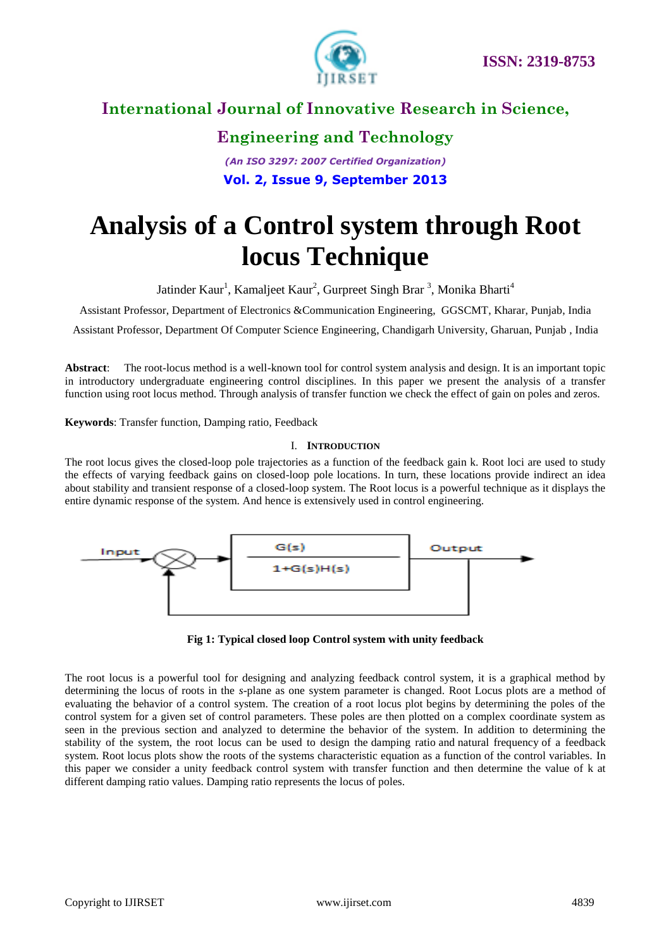



### **Engineering and Technology**

*(An ISO 3297: 2007 Certified Organization)* **Vol. 2, Issue 9, September 2013**

# **Analysis of a Control system through Root locus Technique**

Jatinder Kaur<sup>1</sup>, Kamaljeet Kaur<sup>2</sup>, Gurpreet Singh Brar<sup>3</sup>, Monika Bharti<sup>4</sup>

Assistant Professor, Department of Electronics &Communication Engineering, GGSCMT, Kharar, Punjab, India

Assistant Professor, Department Of Computer Science Engineering, Chandigarh University, Gharuan, Punjab , India

**Abstract**: The root-locus method is a well-known tool for control system analysis and design. It is an important topic in introductory undergraduate engineering control disciplines. In this paper we present the analysis of a transfer function using root locus method. Through analysis of transfer function we check the effect of gain on poles and zeros.

**Keywords**: Transfer function, Damping ratio, Feedback

#### I. **INTRODUCTION**

The root locus gives the closed-loop pole trajectories as a function of the feedback gain k. Root loci are used to study the effects of varying feedback gains on closed-loop pole locations. In turn, these locations provide indirect an idea about stability and transient response of a closed-loop system. The Root locus is a powerful technique as it displays the entire dynamic response of the system. And hence is extensively used in control engineering.



**Fig 1: Typical closed loop Control system with unity feedback**

The root locus is a powerful tool for designing and analyzing feedback control system, it is a graphical method by determining the locus of roots in the *s*-plane as one system parameter is changed. Root Locus plots are a method of evaluating the behavior of a control system. The creation of a root locus plot begins by determining the poles of the control system for a given set of control parameters. These poles are then plotted on a complex coordinate system as seen in the previous section and analyzed to determine the behavior of the system. In addition to determining the stability of the system, the root locus can be used to design the [damping ratio](http://en.wikipedia.org/wiki/Damping_ratio) and [natural frequency](http://en.wikipedia.org/wiki/Natural_frequency) of a feedback system. Root locus plots show the roots of the systems characteristic equation as a function of the control variables. In this paper we consider a unity feedback control system with transfer function and then determine the value of k at different damping ratio values. Damping ratio represents the locus of poles.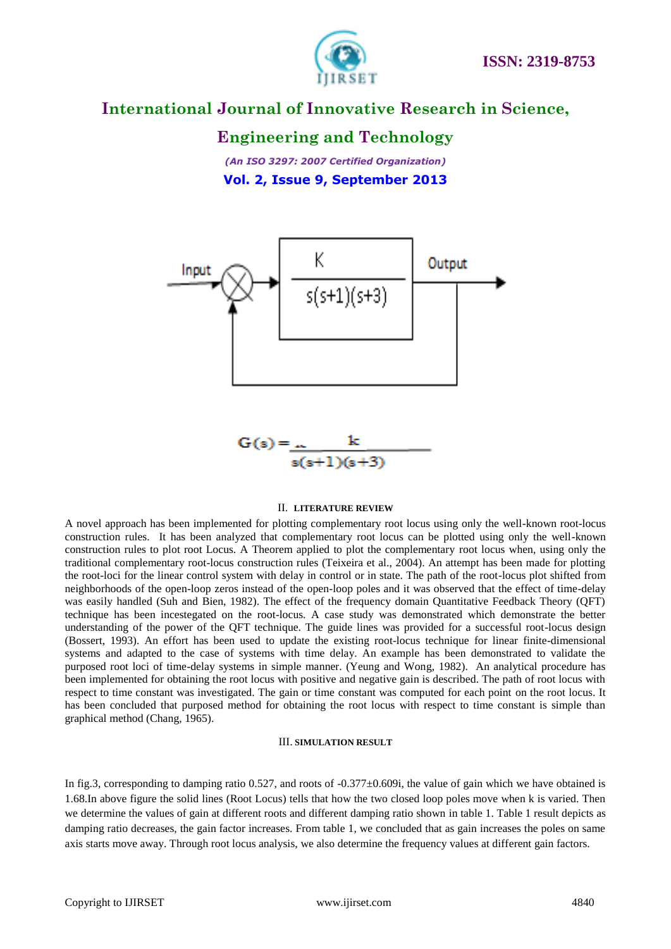

#### **Engineering and Technology**

*(An ISO 3297: 2007 Certified Organization)* **Vol. 2, Issue 9, September 2013**



$$
\mathsf{s}(\mathsf{s}{+}1)(\mathsf{s}{+}3)
$$

#### II. **LITERATURE REVIEW**

A novel approach has been implemented for plotting complementary root locus using only the well-known root-locus construction rules. It has been analyzed that complementary root locus can be plotted using only the well-known construction rules to plot root Locus. A Theorem applied to plot the complementary root locus when, using only the traditional complementary root-locus construction rules (Teixeira et al., 2004). An attempt has been made for plotting the root-loci for the linear control system with delay in control or in state. The path of the root-locus plot shifted from neighborhoods of the open-loop zeros instead of the open-loop poles and it was observed that the effect of time-delay was easily handled (Suh and Bien, 1982). The effect of the frequency domain Quantitative Feedback Theory (QFT) technique has been incestegated on the root-locus. A case study was demonstrated which demonstrate the better understanding of the power of the QFT technique. The guide lines was provided for a successful root-locus design (Bossert, 1993). An effort has been used to update the existing root-locus technique for linear finite-dimensional systems and adapted to the case of systems with time delay. An example has been demonstrated to validate the purposed root loci of time-delay systems in simple manner. (Yeung and Wong, 1982). An analytical procedure has been implemented for obtaining the root locus with positive and negative gain is described. The path of root locus with respect to time constant was investigated. The gain or time constant was computed for each point on the root locus. It has been concluded that purposed method for obtaining the root locus with respect to time constant is simple than graphical method (Chang, 1965).

#### III. **SIMULATION RESULT**

In fig.3, corresponding to damping ratio 0.527, and roots of  $-0.377\pm0.609$ , the value of gain which we have obtained is 1.68.In above figure the solid lines (Root Locus) tells that how the two closed loop poles move when k is varied. Then we determine the values of gain at different roots and different damping ratio shown in table 1. Table 1 result depicts as damping ratio decreases, the gain factor increases. From table 1, we concluded that as gain increases the poles on same axis starts move away. Through root locus analysis, we also determine the frequency values at different gain factors.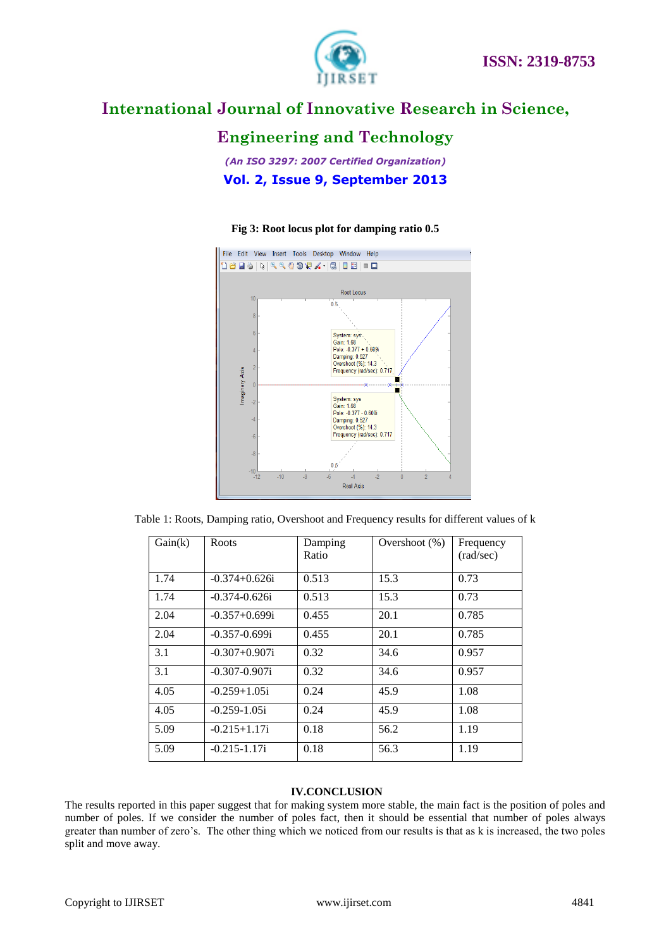

## **Engineering and Technology**

*(An ISO 3297: 2007 Certified Organization)* **Vol. 2, Issue 9, September 2013**

#### **Fig 3: Root locus plot for damping ratio 0.5**



Table 1: Roots, Damping ratio, Overshoot and Frequency results for different values of k

| Gain(k) | Roots              | Damping<br>Ratio | Overshoot $(\%)$ | Frequency<br>(rad/sec) |
|---------|--------------------|------------------|------------------|------------------------|
| 1.74    | $-0.374 + 0.626$ i | 0.513            | 15.3             | 0.73                   |
| 1.74    | $-0.374 - 0.626i$  | 0.513            | 15.3             | 0.73                   |
| 2.04    | $-0.357+0.699i$    | 0.455            | 20.1             | 0.785                  |
| 2.04    | $-0.357 - 0.699i$  | 0.455            | 20.1             | 0.785                  |
| 3.1     | $-0.307 + 0.907$ i | 0.32             | 34.6             | 0.957                  |
| 3.1     | $-0.307 - 0.907$ i | 0.32             | 34.6             | 0.957                  |
| 4.05    | $-0.259 + 1.05i$   | 0.24             | 45.9             | 1.08                   |
| 4.05    | $-0.259 - 1.05i$   | 0.24             | 45.9             | 1.08                   |
| 5.09    | $-0.215 + 1.17i$   | 0.18             | 56.2             | 1.19                   |
| 5.09    | $-0.215 - 1.17i$   | 0.18             | 56.3             | 1.19                   |

#### **IV.CONCLUSION**

The results reported in this paper suggest that for making system more stable, the main fact is the position of poles and number of poles. If we consider the number of poles fact, then it should be essential that number of poles always greater than number of zero's. The other thing which we noticed from our results is that as k is increased, the two poles split and move away.